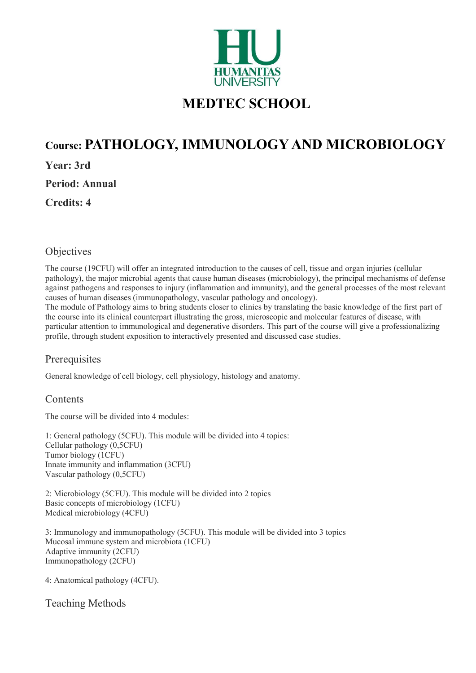

# MEDTEC SCHOOL

## Course: PATHOLOGY, IMMUNOLOGY AND MICROBIOLOGY

Year: 3rd

Period: Annual

Credits: 4

## **Objectives**

The course (19CFU) will offer an integrated introduction to the causes of cell, tissue and organ injuries (cellular pathology), the major microbial agents that cause human diseases (microbiology), the principal mechanisms of defense against pathogens and responses to injury (inflammation and immunity), and the general processes of the most relevant causes of human diseases (immunopathology, vascular pathology and oncology).

The module of Pathology aims to bring students closer to clinics by translating the basic knowledge of the first part of the course into its clinical counterpart illustrating the gross, microscopic and molecular features of disease, with particular attention to immunological and degenerative disorders. This part of the course will give a professionalizing profile, through student exposition to interactively presented and discussed case studies.

## **Prerequisites**

General knowledge of cell biology, cell physiology, histology and anatomy.

## **Contents**

The course will be divided into 4 modules:

1: General pathology (5CFU). This module will be divided into 4 topics: Cellular pathology (0,5CFU) Tumor biology (1CFU) Innate immunity and inflammation (3CFU) Vascular pathology (0,5CFU)

2: Microbiology (5CFU). This module will be divided into 2 topics Basic concepts of microbiology (1CFU) Medical microbiology (4CFU)

3: Immunology and immunopathology (5CFU). This module will be divided into 3 topics Mucosal immune system and microbiota (1CFU) Adaptive immunity (2CFU) Immunopathology (2CFU)

4: Anatomical pathology (4CFU).

Teaching Methods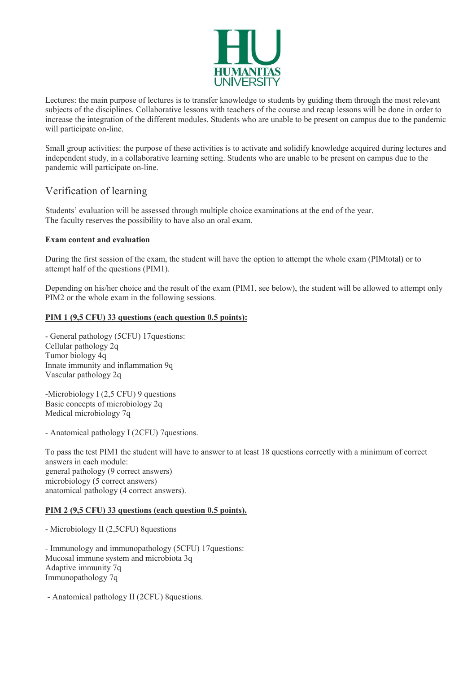

Lectures: the main purpose of lectures is to transfer knowledge to students by guiding them through the most relevant subjects of the disciplines. Collaborative lessons with teachers of the course and recap lessons will be done in order to increase the integration of the different modules. Students who are unable to be present on campus due to the pandemic will participate on-line.

Small group activities: the purpose of these activities is to activate and solidify knowledge acquired during lectures and independent study, in a collaborative learning setting. Students who are unable to be present on campus due to the pandemic will participate on-line.

### Verification of learning

Students' evaluation will be assessed through multiple choice examinations at the end of the year. The faculty reserves the possibility to have also an oral exam.

#### Exam content and evaluation

During the first session of the exam, the student will have the option to attempt the whole exam (PIMtotal) or to attempt half of the questions (PIM1).

Depending on his/her choice and the result of the exam (PIM1, see below), the student will be allowed to attempt only PIM2 or the whole exam in the following sessions.

#### PIM 1 (9,5 CFU) 33 questions (each question 0.5 points):

- General pathology (5CFU) 17questions: Cellular pathology 2q Tumor biology 4q Innate immunity and inflammation 9q Vascular pathology 2q

-Microbiology I (2,5 CFU) 9 questions Basic concepts of microbiology 2q Medical microbiology 7q

- Anatomical pathology I (2CFU) 7questions.

To pass the test PIM1 the student will have to answer to at least 18 questions correctly with a minimum of correct answers in each module: general pathology (9 correct answers) microbiology (5 correct answers) anatomical pathology (4 correct answers).

#### PIM 2 (9,5 CFU) 33 questions (each question 0.5 points).

- Microbiology II (2,5CFU) 8questions

- Immunology and immunopathology (5CFU) 17questions: Mucosal immune system and microbiota 3q Adaptive immunity 7q Immunopathology 7q

- Anatomical pathology II (2CFU) 8questions.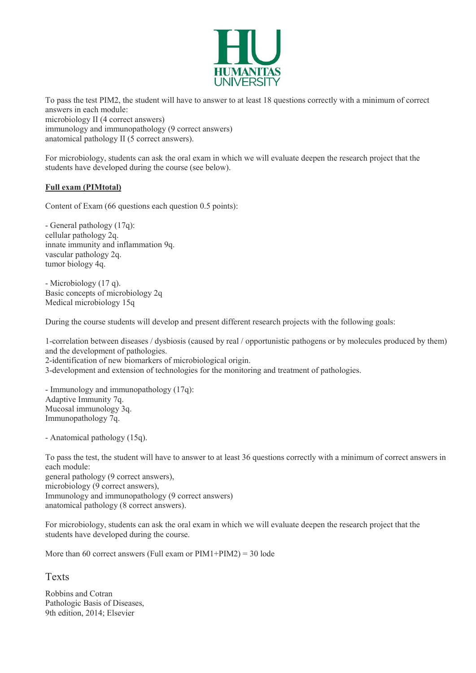

To pass the test PIM2, the student will have to answer to at least 18 questions correctly with a minimum of correct answers in each module: microbiology II (4 correct answers) immunology and immunopathology (9 correct answers) anatomical pathology II (5 correct answers).

For microbiology, students can ask the oral exam in which we will evaluate deepen the research project that the students have developed during the course (see below).

#### Full exam (PIMtotal)

Content of Exam (66 questions each question 0.5 points):

- General pathology (17q): cellular pathology 2q. innate immunity and inflammation 9q. vascular pathology 2q. tumor biology 4q.

- Microbiology (17 q). Basic concepts of microbiology 2q Medical microbiology 15q

During the course students will develop and present different research projects with the following goals:

1-correlation between diseases / dysbiosis (caused by real / opportunistic pathogens or by molecules produced by them) and the development of pathologies. 2-identification of new biomarkers of microbiological origin. 3-development and extension of technologies for the monitoring and treatment of pathologies.

- Immunology and immunopathology (17q): Adaptive Immunity 7q. Mucosal immunology 3q. Immunopathology 7q.

- Anatomical pathology (15q).

To pass the test, the student will have to answer to at least 36 questions correctly with a minimum of correct answers in each module: general pathology (9 correct answers), microbiology (9 correct answers), Immunology and immunopathology (9 correct answers) anatomical pathology (8 correct answers).

For microbiology, students can ask the oral exam in which we will evaluate deepen the research project that the students have developed during the course.

More than 60 correct answers (Full exam or  $PIM1+PIM2$ ) = 30 lode

#### Texts

Robbins and Cotran Pathologic Basis of Diseases, 9th edition, 2014; Elsevier